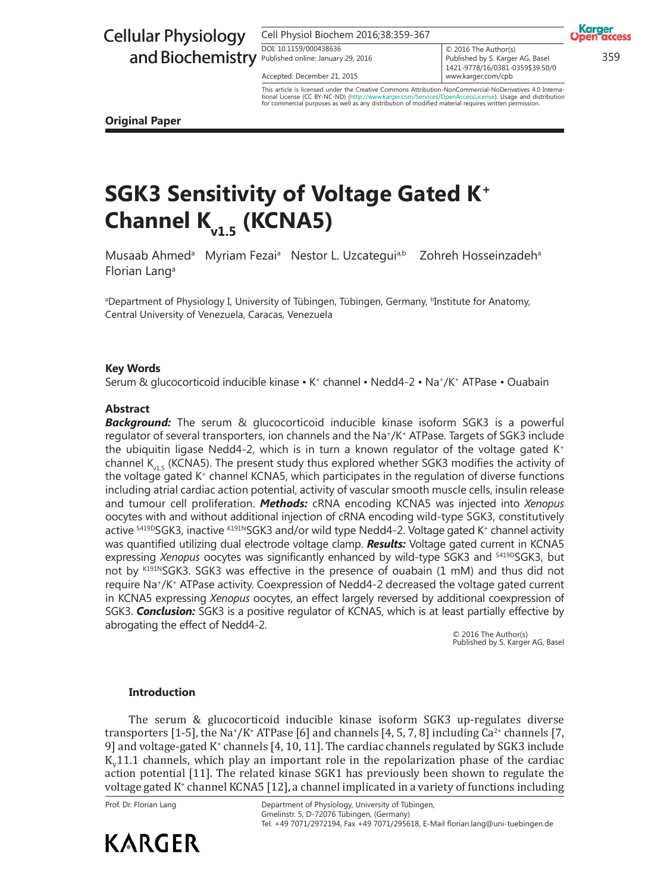# Cellular Physiology

Cell Physiol Biochem 2016;38:359-367 DOI: 10.1159/000438636 DOI: 10.1159/000438636

Accepted: December 21, 2015

and Biochemistry Published online: January 29, 2016<br>  $\frac{2500 \text{ m} \cdot \text{A}}{2121 \cdot 272 \cdot 45 \cdot 600 \cdot 800 \cdot 800 \cdot 800 \cdot 800 \cdot 800 \cdot 800 \cdot 800 \cdot 800 \cdot 800 \cdot 800 \cdot 800 \cdot 800 \cdot 800 \cdot 800 \cdot 800 \cdot 800 \cdot 800 \cdot 800 \cdot 800 \cdot 800 \cdot 800$  $\circ$  2016 The Author(s) Published by S. Karger AG, Basel 1421-9778/16/0381-0359\$39.50/0 www.karger.com/cpb

**MEFASS** 

Karger

This article is licensed under the Creative Commons Attribution-NonCommercial-NoDerivatives 4.0 Interna-<br>tional License (CC BY-NC-ND) (http://www.karger.com/Services/OpenAccessLicense), Usage and distribution tional License (CC BY-NC-ND) (http://www.karger.com/Services/OpenAccessLicense). Usage and distribution for commercial purposes as well as any distribution of modified material requires written permission.

**Original Paper**

# **SGK3 Sensitivity of Voltage Gated K<sup>+</sup> Channel Kv1.5 (KCNA5)**

Musaab Ahmed<sup>a</sup> Myriam Fezai<sup>a</sup> Nestor L. Uzcategui<sup>a,b</sup> Zohreh Hosseinzadeh<sup>a</sup> Zohreh Hosseinzadeh<sup>a</sup> Florian Lang<sup>a</sup>

ªDepartment of Physiology I, University of Tübingen, Tübingen, Germany, <sup>b</sup>Institute for Anatomy, Central University of Venezuela, Caracas, Venezuela

### **Key Words**

Serum & glucocorticoid inducible kinase • K+ channel • Nedd4-2 • Na+/K+ ATPase • Ouabain

### **Abstract**

*Background:* The serum & glucocorticoid inducible kinase isoform SGK3 is a powerful regulator of several transporters, ion channels and the Na<sup>+</sup> /K<sup>+</sup> ATPase. Targets of SGK3 include the ubiquitin ligase Nedd4-2, which is in turn a known regulator of the voltage gated  $K^+$ channel  $K_{\text{dS}}$  (KCNA5). The present study thus explored whether SGK3 modifies the activity of the voltage gated  $K^*$  channel KCNA5, which participates in the regulation of diverse functions including atrial cardiac action potential, activity of vascular smooth muscle cells, insulin release and tumour cell proliferation. *Methods:* cRNA encoding KCNA5 was injected into *Xenopus* oocytes with and without additional injection of cRNA encoding wild-type SGK3, constitutively active <sup>s419D</sup>SGK3, inactive <sup>к191N</sup>SGK3 and/or wild type Nedd4-2. Voltage gated K\* channel activity was quantified utilizing dual electrode voltage clamp. *Results:* Voltage gated current in KCNA5 expressing *Xenopus* oocytes was significantly enhanced by wild-type SGK3 and <sup>S419D</sup>SGK3, but not by K191NSGK3. SGK3 was effective in the presence of ouabain (1 mM) and thus did not require Na<sup>+</sup> /K<sup>+</sup> ATPase activity. Coexpression of Nedd4-2 decreased the voltage gated current in KCNA5 expressing *Xenopus* oocytes, an effect largely reversed by additional coexpression of SGK3. *Conclusion:* SGK3 is a positive regulator of KCNA5, which is at least partially effective by abrogating the effect of Nedd4-2.

© 2016 The Author(s) Published by S. Karger AG, Basel

### **Introduction**

The serum & glucocorticoid inducible kinase isoform SGK3 up-regulates diverse transporters [1-5], the Na<sup>+</sup>/K<sup>+</sup> ATPase [6] and channels [4, 5, 7, 8] including Ca<sup>2+</sup> channels [7, 9] and voltage-gated K<sup>+</sup> channels [4, 10, 11]. The cardiac channels regulated by SGK3 include  $K_v$ 11.1 channels, which play an important role in the repolarization phase of the cardiac action potential [11]. The related kinase SGK1 has previously been shown to regulate the voltage gated K<sup>+</sup> channel KCNA5 [12], a channel implicated in a variety of functions including

Prof. Dr. Florian Lang



Department of Physiology, University of Tübingen, Gmelinstr. 5, D-72076 Tübingen, (Germany) Tel. +49 7071/2972194, Fax +49 7071/295618, E-Mail florian.lang@uni-tuebingen.de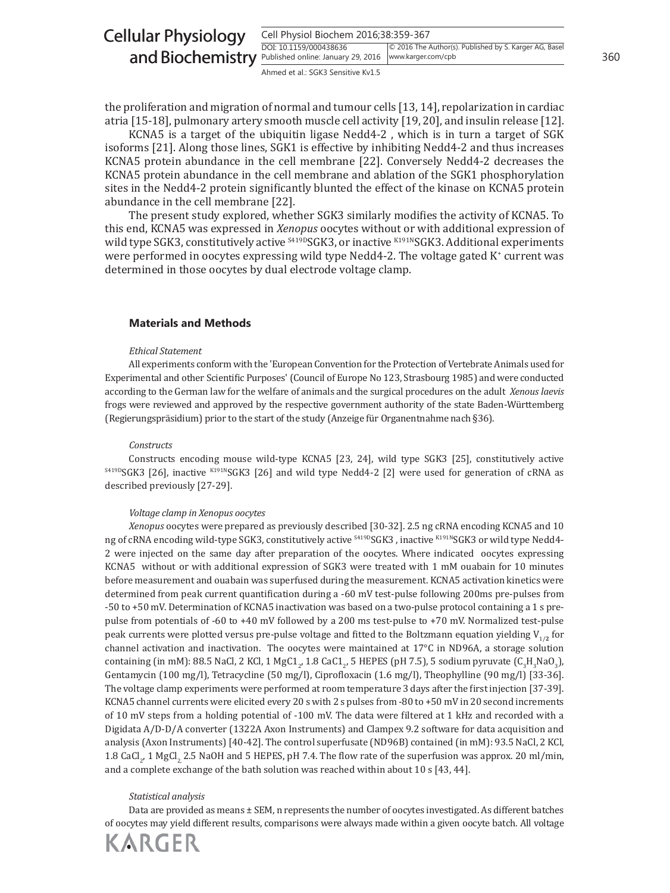| <b>Cellular Physiology</b>                                                    | Cell Physiol Biochem 2016;38:359-367 |                                                        |     |  |
|-------------------------------------------------------------------------------|--------------------------------------|--------------------------------------------------------|-----|--|
| and Biochemistry <b>Published online: January 29, 2016</b> www.karger.com/cpb | DOI: 10.1159/000438636               | © 2016 The Author(s). Published by S. Karger AG, Basel | 360 |  |
|                                                                               | Ahmed et al.: SGK3 Sensitive Kv1.5   |                                                        |     |  |

the proliferation and migration of normal and tumour cells [13, 14], repolarization in cardiac atria [15-18], pulmonary artery smooth muscle cell activity [19, 20], and insulin release [12].

KCNA5 is a target of the ubiquitin ligase Nedd4-2 , which is in turn a target of SGK isoforms [21]. Along those lines, SGK1 is effective by inhibiting Nedd4-2 and thus increases KCNA5 protein abundance in the cell membrane [22]. Conversely Nedd4-2 decreases the KCNA5 protein abundance in the cell membrane and ablation of the SGK1 phosphorylation sites in the Nedd4-2 protein significantly blunted the effect of the kinase on KCNA5 protein abundance in the cell membrane [22].

The present study explored, whether SGK3 similarly modifies the activity of KCNA5. To this end, KCNA5 was expressed in *Xenopus* oocytes without or with additional expression of wild type SGK3, constitutively active <sup>\$419D</sup>SGK3, or inactive <sup>K191N</sup>SGK3. Additional experiments were performed in oocytes expressing wild type Nedd4-2. The voltage gated K<sup>+</sup> current was determined in those oocytes by dual electrode voltage clamp.

#### **Materials and Methods**

#### *Ethical Statement*

All experiments conform with the 'European Convention for the Protection of Vertebrate Animals used for Experimental and other Scientific Purposes' (Council of Europe No 123, Strasbourg 1985) and were conducted according to the German law for the welfare of animals and the surgical procedures on the adult *Xenous laevis* frogs were reviewed and approved by the respective government authority of the state Baden-Württemberg (Regierungspräsidium) prior to the start of the study (Anzeige für Organentnahme nach §36).

#### *Constructs*

Constructs encoding mouse wild-type KCNA5 [23, 24], wild type SGK3 [25], constitutively active S419DSGK3 [26], inactive K191NSGK3 [26] and wild type Nedd4-2 [2] were used for generation of cRNA as described previously [27-29].

#### *Voltage clamp in Xenopus oocytes*

*Xenopus* oocytes were prepared as previously described [30-32]. 2.5 ng cRNA encoding KCNA5 and 10 ng of cRNA encoding wild-type SGK3, constitutively active <sup>\$419D</sup>SGK3, inactive K191NSGK3 or wild type Nedd4-2 were injected on the same day after preparation of the oocytes. Where indicated oocytes expressing KCNA5 without or with additional expression of SGK3 were treated with 1 mM ouabain for 10 minutes before measurement and ouabain was superfused during the measurement. KCNA5 activation kinetics were determined from peak current quantification during a -60 mV test-pulse following 200ms pre-pulses from -50 to +50 mV. Determination of KCNA5 inactivation was based on a two-pulse protocol containing a 1 s prepulse from potentials of -60 to +40 mV followed by a 200 ms test-pulse to +70 mV. Normalized test-pulse peak currents were plotted versus pre-pulse voltage and fitted to the Boltzmann equation yielding V<sub>1/2</sub> for channel activation and inactivation. The oocytes were maintained at 17°C in ND96A, a storage solution containing (in mM): 88.5 NaCl, 2 KCl, 1 MgC1<sub>2</sub>, 1.8 CaC1<sub>2</sub>, 5 HEPES (pH 7.5), 5 sodium pyruvate (C<sub>3</sub>H<sub>3</sub>NaO<sub>3</sub>), Gentamycin (100 mg/l), Tetracycline (50 mg/l), Ciprofloxacin (1.6 mg/l), Theophylline (90 mg/l) [33-36]. The voltage clamp experiments were performed at room temperature 3 days after the first injection [37-39]. KCNA5 channel currents were elicited every 20 s with 2 s pulses from -80 to +50 mV in 20 second increments of 10 mV steps from a holding potential of -100 mV. The data were filtered at 1 kHz and recorded with a Digidata A/D-D/A converter (1322A Axon Instruments) and Clampex 9.2 software for data acquisition and analysis (Axon Instruments) [40-42]. The control superfusate (ND96B) contained (in mM): 93.5 NaCl, 2 KCl, 1.8 CaCl<sub>2</sub>, 1 MgCl<sub>2,</sub> 2.5 NaOH and 5 HEPES, pH 7.4. The flow rate of the superfusion was approx. 20 ml/min, and a complete exchange of the bath solution was reached within about 10 s [43, 44].

#### *Statistical analysis*

Data are provided as means ± SEM, n represents the number of oocytes investigated. As different batches of oocytes may yield different results, comparisons were always made within a given oocyte batch. All voltage

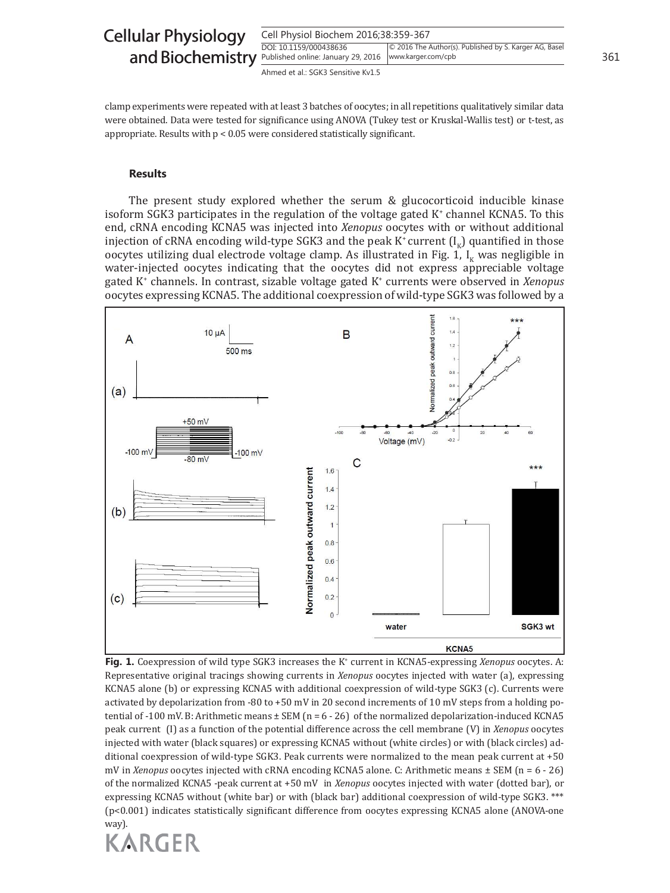| <b>Cellular Physiology</b>                                               | Cell Physiol Biochem 2016;38:359-367 |                                                        |     |  |
|--------------------------------------------------------------------------|--------------------------------------|--------------------------------------------------------|-----|--|
| and Biochemistry Published online: January 29, 2016   www.karger.com/cpb | DOI: 10.1159/000438636               | © 2016 The Author(s). Published by S. Karger AG, Basel | 361 |  |
|                                                                          | Ahmed et al.: SGK3 Sensitive Kv1.5   |                                                        |     |  |

clamp experiments were repeated with at least 3 batches of oocytes; in all repetitions qualitatively similar data were obtained. Data were tested for significance using ANOVA (Tukey test or Kruskal-Wallis test) or t-test, as appropriate. Results with p < 0.05 were considered statistically significant.

#### **Results**

The present study explored whether the serum & glucocorticoid inducible kinase isoform SGK3 participates in the regulation of the voltage gated  $K^*$  channel KCNA5. To this end, cRNA encoding KCNA5 was injected into *Xenopus* oocytes with or without additional injection of cRNA encoding wild-type SGK3 and the peak K<sup>+</sup> current  $(I_{\kappa})$  quantified in those oocytes utilizing dual electrode voltage clamp. As illustrated in Fig. 1,  $I<sub>k</sub>$  was negligible in water-injected oocytes indicating that the oocytes did not express appreciable voltage gated K<sup>+</sup> channels. In contrast, sizable voltage gated K<sup>+</sup> currents were observed in *Xenopus* oocytes expressing KCNA5. The additional coexpression of wild-type SGK3 was followed by a



**Fig. 1.** Coexpression of wild type SGK3 increases the K<sup>+</sup> current in KCNA5-expressing *Xenopus* oocytes. A: Representative original tracings showing currents in *Xenopus* oocytes injected with water (a), expressing KCNA5 alone (b) or expressing KCNA5 with additional coexpression of wild-type SGK3 (c). Currents were activated by depolarization from -80 to +50 mV in 20 second increments of 10 mV steps from a holding potential of -100 mV. B: Arithmetic means  $\pm$  SEM (n = 6 - 26) of the normalized depolarization-induced KCNA5 peak current (I) as a function of the potential difference across the cell membrane (V) in *Xenopus* oocytes injected with water (black squares) or expressing KCNA5 without (white circles) or with (black circles) additional coexpression of wild-type SGK3. Peak currents were normalized to the mean peak current at +50 mV in *Xenopus* oocytes injected with cRNA encoding KCNA5 alone. C: Arithmetic means ± SEM (n = 6 - 26) of the normalized KCNA5 -peak current at +50 mV in *Xenopus* oocytes injected with water (dotted bar), or expressing KCNA5 without (white bar) or with (black bar) additional coexpression of wild-type SGK3. \*\*\* (p<0.001) indicates statistically significant difference from oocytes expressing KCNA5 alone (ANOVA-one way).

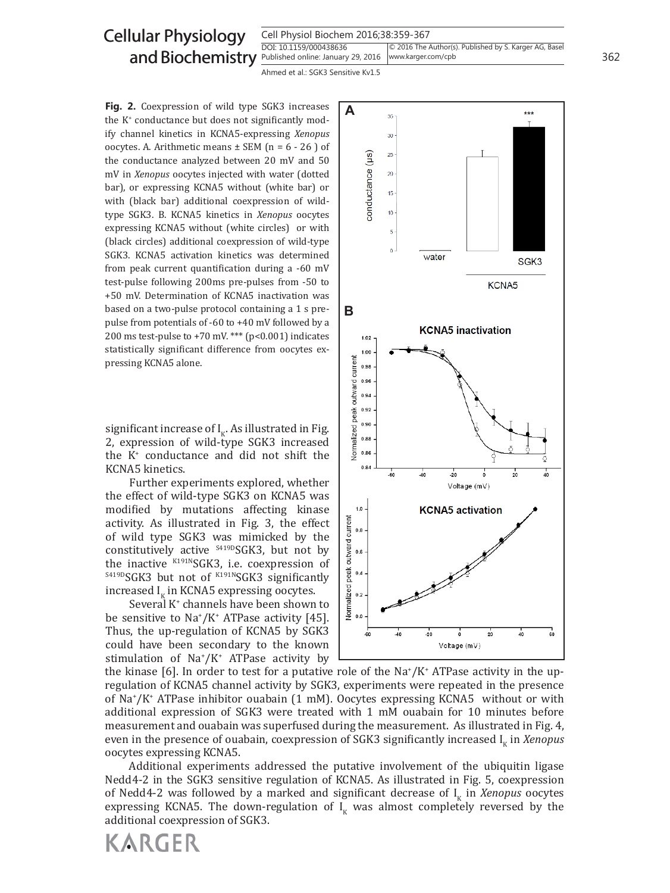## Cellular Physiology and Biochemistry

Cell Physiol Biochem 2016;38:359-367

DOI: 10.1159/000438636 Published online: January 29, 2016 | www.karger.com/cpb © 2016 The Author(s). Published by S. Karger AG, Basel www.karger.com/cpb

Ahmed et al.: SGK3 Sensitive Kv1.5

Fig. 2. Coexpression of wild type SGK3 increases the K<sup>+</sup> conductance but does not significantly modify channel kinetics in KCNA5-expressing *Xenopus*  oocytes. A. Arithmetic means  $\pm$  SEM (n = 6 - 26) of the conductance analyzed between 20 mV and 50 mV in *Xenopus* oocytes injected with water (dotted bar), or expressing KCNA5 without (white bar) or with (black bar) additional coexpression of wildtype SGK3. B. KCNA5 kinetics in *Xenopus* oocytes expressing KCNA5 without (white circles) or with (black circles) additional coexpression of wild-type SGK3. KCNA5 activation kinetics was determined from peak current quantification during a -60 mV test-pulse following 200ms pre-pulses from -50 to +50 mV. Determination of KCNA5 inactivation was based on a two-pulse protocol containing a 1 s prepulse from potentials of -60 to +40 mV followed by a 200 ms test-pulse to  $+70$  mV. \*\*\* (p<0.001) indicates statistically significant difference from oocytes expressing KCNA5 alone.

significant increase of  $I_K$ . As illustrated in Fig. 2, expression of wild-type SGK3 increased the K<sup>+</sup> conductance and did not shift the KCNA5 kinetics.

Further experiments explored, whether the effect of wild-type SGK3 on KCNA5 was modified by mutations affecting kinase activity. As illustrated in Fig. 3, the effect of wild type SGK3 was mimicked by the constitutively active <sup>S419D</sup>SGK3, but not by the inactive K191NSGK3, i.e. coexpression of  $S419DSGK3$  but not of  $K191NSGK3$  significantly increased I<sub>K</sub> in KCNA5 expressing oocytes.

Several K<sup>+</sup> channels have been shown to be sensitive to  $Na^*/K^*$  ATPase activity [45]. Thus, the up-regulation of KCNA5 by SGK3 could have been secondary to the known stimulation of Na<sup>+</sup>/K<sup>+</sup> ATPase activity by

**KARGER** 



the kinase [6]. In order to test for a putative role of the Na<sup>+</sup>/K<sup>+</sup> ATPase activity in the upregulation of KCNA5 channel activity by SGK3, experiments were repeated in the presence of Na<sup>+</sup>/K<sup>+</sup> ATPase inhibitor ouabain (1 mM). Oocytes expressing KCNA5 without or with additional expression of SGK3 were treated with 1 mM ouabain for 10 minutes before measurement and ouabain was superfused during the measurement. As illustrated in Fig. 4, even in the presence of ouabain, coexpression of SGK3 significantly increased I<sub>K</sub> in *Xenopus* oocytes expressing KCNA5.

Additional experiments addressed the putative involvement of the ubiquitin ligase Nedd4-2 in the SGK3 sensitive regulation of KCNA5. As illustrated in Fig. 5, coexpression of Nedd4-2 was followed by a marked and significant decrease of  $I_{K}$  in *Xenopus* oocytes expressing KCNA5. The down-regulation of  $I_K$  was almost completely reversed by the additional coexpression of SGK3.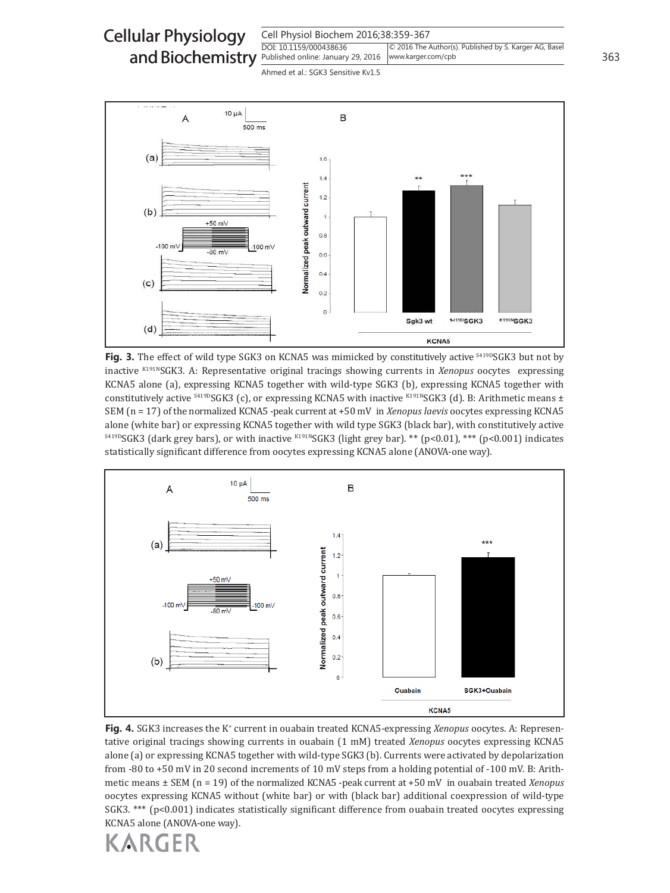Cell Physiol Biochem 2016;38:359-367 DOI: 10.1159/000438636 and Biochemistry **Published online: January 29, 2016** | www.karger.com/cpb 363 Cellular Physiology © 2016 The Author(s). Published by S. Karger AG, Basel www.karger.com/cpb

Ahmed et al.: SGK3 Sensitive Kv1.5



**Fig. 3.** The effect of wild type SGK3 on KCNA5 was mimicked by constitutively active <sup>S419D</sup>SGK3 but not by inactive K191NSGK3. A: Representative original tracings showing currents in *Xenopus* oocytes expressing KCNA5 alone (a), expressing KCNA5 together with wild-type SGK3 (b), expressing KCNA5 together with constitutively active  $^{5419D}SGK3$  (c), or expressing KCNA5 with inactive K191NSGK3 (d). B: Arithmetic means  $\pm$ SEM (n = 17) of the normalized KCNA5 -peak current at +50 mV in *Xenopus laevis* oocytes expressing KCNA5 alone (white bar) or expressing KCNA5 together with wild type SGK3 (black bar), with constitutively active S419DSGK3 (dark grey bars), or with inactive K191NSGK3 (light grey bar). \*\* (p<0.01), \*\*\* (p<0.001) indicates statistically significant difference from oocytes expressing KCNA5 alone (ANOVA-one way).



**Fig. 4.** SGK3 increases the K<sup>+</sup> current in ouabain treated KCNA5-expressing *Xenopus* oocytes. A: Representative original tracings showing currents in ouabain (1 mM) treated *Xenopus* oocytes expressing KCNA5 alone (a) or expressing KCNA5 together with wild-type SGK3 (b). Currents were activated by depolarization from -80 to +50 mV in 20 second increments of 10 mV steps from a holding potential of -100 mV. B: Arithmetic means ± SEM (n = 19) of the normalized KCNA5 -peak current at +50 mV in ouabain treated *Xenopus* oocytes expressing KCNA5 without (white bar) or with (black bar) additional coexpression of wild-type SGK3. \*\*\* (p<0.001) indicates statistically significant difference from ouabain treated oocytes expressing KCNA5 alone (ANOVA-one way).

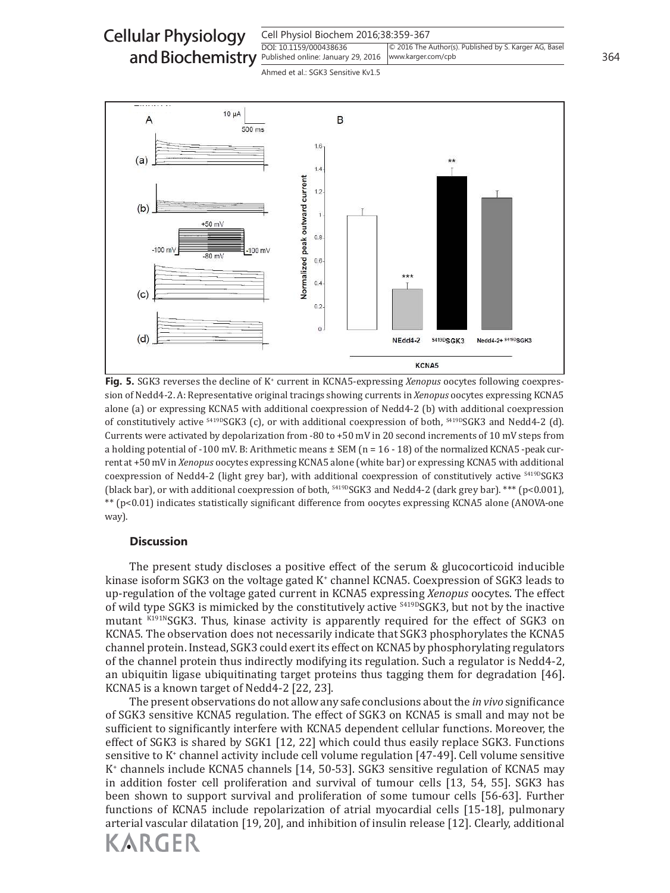Cell Physiol Biochem 2016;38:359-367 DOI: 10.1159/000438636 and Biochemistry **Published online: January 29, 2016** | www.karger.com/cpb 364 Cellular Physiology © 2016 The Author(s). Published by S. Karger AG, Basel www.karger.com/cpb

Ahmed et al.: SGK3 Sensitive Kv1.5



Fig. 5. SGK3 reverses the decline of K<sup>+</sup> current in KCNA5-expressing Xenopus oocytes following coexpression of Nedd4-2. A: Representative original tracings showing currents in *Xenopus* oocytes expressing KCNA5 alone (a) or expressing KCNA5 with additional coexpression of Nedd4-2 (b) with additional coexpression of constitutively active <sup>S419D</sup>SGK3 (c), or with additional coexpression of both, <sup>S419D</sup>SGK3 and Nedd4-2 (d). Currents were activated by depolarization from -80 to +50 mV in 20 second increments of 10 mV steps from a holding potential of -100 mV. B: Arithmetic means  $\pm$  SEM (n = 16 - 18) of the normalized KCNA5 -peak current at +50 mV in *Xenopus* oocytes expressing KCNA5 alone (white bar) or expressing KCNA5 with additional coexpression of Nedd4-2 (light grey bar), with additional coexpression of constitutively active <sup>\$419D</sup>SGK3 (black bar), or with additional coexpression of both,  $^{5419D}SGK3$  and Nedd4-2 (dark grey bar). \*\*\* (p<0.001), \*\* (p<0.01) indicates statistically significant difference from oocytes expressing KCNA5 alone (ANOVA-one way).

### **Discussion**

The present study discloses a positive effect of the serum & glucocorticoid inducible kinase isoform SGK3 on the voltage gated K<sup>+</sup> channel KCNA5. Coexpression of SGK3 leads to up-regulation of the voltage gated current in KCNA5 expressing *Xenopus* oocytes. The effect of wild type SGK3 is mimicked by the constitutively active <sup>5419D</sup>SGK3, but not by the inactive mutant K191NSGK3. Thus, kinase activity is apparently required for the effect of SGK3 on KCNA5. The observation does not necessarily indicate that SGK3 phosphorylates the KCNA5 channel protein. Instead, SGK3 could exert its effect on KCNA5 by phosphorylating regulators of the channel protein thus indirectly modifying its regulation. Such a regulator is Nedd4-2, an ubiquitin ligase ubiquitinating target proteins thus tagging them for degradation [46]. KCNA5 is a known target of Nedd4-2 [22, 23].

The present observations do not allow any safe conclusions about the *in vivo* significance of SGK3 sensitive KCNA5 regulation. The effect of SGK3 on KCNA5 is small and may not be sufficient to significantly interfere with KCNA5 dependent cellular functions. Moreover, the effect of SGK3 is shared by SGK1 [12, 22] which could thus easily replace SGK3. Functions sensitive to K<sup>+</sup> channel activity include cell volume regulation [47-49]. Cell volume sensitive K + channels include KCNA5 channels [14, 50-53]. SGK3 sensitive regulation of KCNA5 may in addition foster cell proliferation and survival of tumour cells [13, 54, 55]. SGK3 has been shown to support survival and proliferation of some tumour cells [56-63]. Further functions of KCNA5 include repolarization of atrial myocardial cells [15-18], pulmonary arterial vascular dilatation [19, 20], and inhibition of insulin release [12]. Clearly, additional

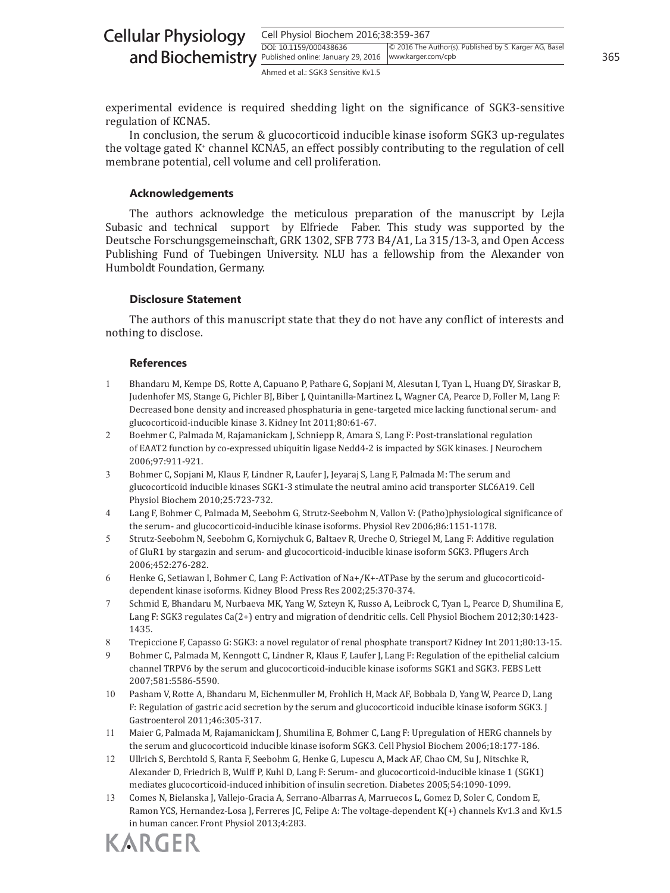| <b>Cellular Physiology</b>                                                    | Cell Physiol Biochem 2016;38:359-367 |                                                        |     |  |
|-------------------------------------------------------------------------------|--------------------------------------|--------------------------------------------------------|-----|--|
| and Biochemistry <b>Published online: January 29, 2016</b> www.karger.com/cpb | DOI: 10.1159/000438636               | © 2016 The Author(s). Published by S. Karger AG, Basel | 365 |  |
|                                                                               | Ahmed et al.: SGK3 Sensitive Kv1.5   |                                                        |     |  |

experimental evidence is required shedding light on the significance of SGK3-sensitive regulation of KCNA5.

In conclusion, the serum & glucocorticoid inducible kinase isoform SGK3 up-regulates the voltage gated K<sup>+</sup> channel KCNA5, an effect possibly contributing to the regulation of cell membrane potential, cell volume and cell proliferation.

#### **Acknowledgements**

The authors acknowledge the meticulous preparation of the manuscript by Lejla Subasic and technical support by Elfriede Faber. This study was supported by the Deutsche Forschungsgemeinschaft, GRK 1302, SFB 773 B4/A1, La 315/13-3, and Open Access Publishing Fund of Tuebingen University. NLU has a fellowship from the Alexander von Humboldt Foundation, Germany.

#### **Disclosure Statement**

The authors of this manuscript state that they do not have any conflict of interests and nothing to disclose.

#### **References**

- 1 Bhandaru M, Kempe DS, Rotte A, Capuano P, Pathare G, Sopjani M, Alesutan I, Tyan L, Huang DY, Siraskar B, Judenhofer MS, Stange G, Pichler BJ, Biber J, Quintanilla-Martinez L, Wagner CA, Pearce D, Foller M, Lang F: Decreased bone density and increased phosphaturia in gene-targeted mice lacking functional serum- and glucocorticoid-inducible kinase 3. Kidney Int 2011;80:61-67.
- 2 Boehmer C, Palmada M, Rajamanickam J, Schniepp R, Amara S, Lang F: Post-translational regulation of EAAT2 function by co-expressed ubiquitin ligase Nedd4-2 is impacted by SGK kinases. J Neurochem 2006;97:911-921.
- 3 Bohmer C, Sopjani M, Klaus F, Lindner R, Laufer J, Jeyaraj S, Lang F, Palmada M: The serum and glucocorticoid inducible kinases SGK1-3 stimulate the neutral amino acid transporter SLC6A19. Cell Physiol Biochem 2010;25:723-732.
- 4 Lang F, Bohmer C, Palmada M, Seebohm G, Strutz-Seebohm N, Vallon V: (Patho)physiological significance of the serum- and glucocorticoid-inducible kinase isoforms. Physiol Rev 2006;86:1151-1178.
- 5 Strutz-Seebohm N, Seebohm G, Korniychuk G, Baltaev R, Ureche O, Striegel M, Lang F: Additive regulation of GluR1 by stargazin and serum- and glucocorticoid-inducible kinase isoform SGK3. Pflugers Arch 2006;452:276-282.
- 6 Henke G, Setiawan I, Bohmer C, Lang F: Activation of Na+/K+-ATPase by the serum and glucocorticoiddependent kinase isoforms. Kidney Blood Press Res 2002;25:370-374.
- 7 Schmid E, Bhandaru M, Nurbaeva MK, Yang W, Szteyn K, Russo A, Leibrock C, Tyan L, Pearce D, Shumilina E, Lang F: SGK3 regulates Ca(2+) entry and migration of dendritic cells. Cell Physiol Biochem 2012;30:1423- 1435.
- 8 Trepiccione F, Capasso G: SGK3: a novel regulator of renal phosphate transport? Kidney Int 2011;80:13-15.
- 9 Bohmer C, Palmada M, Kenngott C, Lindner R, Klaus F, Laufer J, Lang F: Regulation of the epithelial calcium channel TRPV6 by the serum and glucocorticoid-inducible kinase isoforms SGK1 and SGK3. FEBS Lett 2007;581:5586-5590.
- 10 Pasham V, Rotte A, Bhandaru M, Eichenmuller M, Frohlich H, Mack AF, Bobbala D, Yang W, Pearce D, Lang F: Regulation of gastric acid secretion by the serum and glucocorticoid inducible kinase isoform SGK3. J Gastroenterol 2011;46:305-317.
- 11 Maier G, Palmada M, Rajamanickam J, Shumilina E, Bohmer C, Lang F: Upregulation of HERG channels by the serum and glucocorticoid inducible kinase isoform SGK3. Cell Physiol Biochem 2006;18:177-186.
- 12 Ullrich S, Berchtold S, Ranta F, Seebohm G, Henke G, Lupescu A, Mack AF, Chao CM, Su J, Nitschke R, Alexander D, Friedrich B, Wulff P, Kuhl D, Lang F: Serum- and glucocorticoid-inducible kinase 1 (SGK1) mediates glucocorticoid-induced inhibition of insulin secretion. Diabetes 2005;54:1090-1099.
- 13 Comes N, Bielanska J, Vallejo-Gracia A, Serrano-Albarras A, Marruecos L, Gomez D, Soler C, Condom E, Ramon YCS, Hernandez-Losa J, Ferreres JC, Felipe A: The voltage-dependent K(+) channels Kv1.3 and Kv1.5 in human cancer. Front Physiol 2013;4:283.

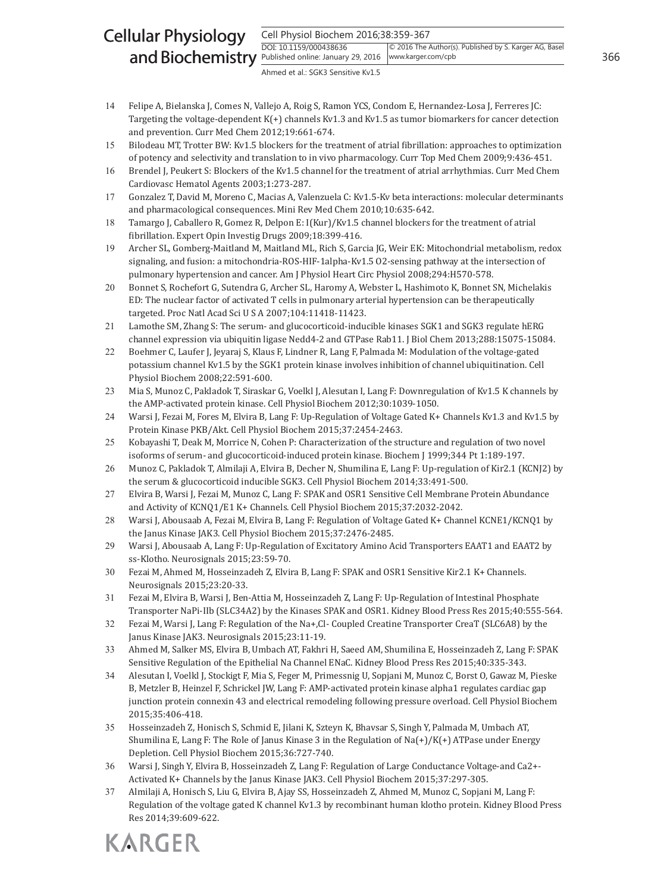#### Cell Physiol Biochem 2016;38:359-367 DOI: 10.1159/000438636 and Biochemistry **Published online: January 29, 2016** | www.karger.com/cpb 366 Cellular Physiology © 2016 The Author(s). Published by S. Karger AG, Basel www.karger.com/cpb

Ahmed et al.: SGK3 Sensitive Kv1.5

- 14 Felipe A, Bielanska J, Comes N, Vallejo A, Roig S, Ramon YCS, Condom E, Hernandez-Losa J, Ferreres JC: Targeting the voltage-dependent  $K(+)$  channels Kv1.3 and Kv1.5 as tumor biomarkers for cancer detection and prevention. Curr Med Chem 2012;19:661-674.
- 15 Bilodeau MT, Trotter BW: Kv1.5 blockers for the treatment of atrial fibrillation: approaches to optimization of potency and selectivity and translation to in vivo pharmacology. Curr Top Med Chem 2009;9:436-451.
- 16 Brendel J, Peukert S: Blockers of the Kv1.5 channel for the treatment of atrial arrhythmias. Curr Med Chem Cardiovasc Hematol Agents 2003;1:273-287.
- 17 Gonzalez T, David M, Moreno C, Macias A, Valenzuela C: Kv1.5-Kv beta interactions: molecular determinants and pharmacological consequences. Mini Rev Med Chem 2010;10:635-642.
- 18 Tamargo J, Caballero R, Gomez R, Delpon E: I(Kur)/Kv1.5 channel blockers for the treatment of atrial fibrillation. Expert Opin Investig Drugs 2009;18:399-416.
- 19 Archer SL, Gomberg-Maitland M, Maitland ML, Rich S, Garcia JG, Weir EK: Mitochondrial metabolism, redox signaling, and fusion: a mitochondria-ROS-HIF-1alpha-Kv1.5 O2-sensing pathway at the intersection of pulmonary hypertension and cancer. Am J Physiol Heart Circ Physiol 2008;294:H570-578.
- 20 Bonnet S, Rochefort G, Sutendra G, Archer SL, Haromy A, Webster L, Hashimoto K, Bonnet SN, Michelakis ED: The nuclear factor of activated T cells in pulmonary arterial hypertension can be therapeutically targeted. Proc Natl Acad Sci U S A 2007;104:11418-11423.
- 21 Lamothe SM, Zhang S: The serum- and glucocorticoid-inducible kinases SGK1 and SGK3 regulate hERG channel expression via ubiquitin ligase Nedd4-2 and GTPase Rab11. J Biol Chem 2013;288:15075-15084.
- 22 Boehmer C, Laufer J, Jeyaraj S, Klaus F, Lindner R, Lang F, Palmada M: Modulation of the voltage-gated potassium channel Kv1.5 by the SGK1 protein kinase involves inhibition of channel ubiquitination. Cell Physiol Biochem 2008;22:591-600.
- 23 Mia S, Munoz C, Pakladok T, Siraskar G, Voelkl J, Alesutan I, Lang F: Downregulation of Kv1.5 K channels by the AMP-activated protein kinase. Cell Physiol Biochem 2012;30:1039-1050.
- 24 Warsi J, Fezai M, Fores M, Elvira B, Lang F: Up-Regulation of Voltage Gated K+ Channels Kv1.3 and Kv1.5 by Protein Kinase PKB/Akt. Cell Physiol Biochem 2015;37:2454-2463.
- 25 Kobayashi T, Deak M, Morrice N, Cohen P: Characterization of the structure and regulation of two novel isoforms of serum- and glucocorticoid-induced protein kinase. Biochem J 1999;344 Pt 1:189-197.
- 26 Munoz C, Pakladok T, Almilaji A, Elvira B, Decher N, Shumilina E, Lang F: Up-regulation of Kir2.1 (KCNJ2) by the serum & glucocorticoid inducible SGK3. Cell Physiol Biochem 2014;33:491-500.
- 27 Elvira B, Warsi J, Fezai M, Munoz C, Lang F: SPAK and OSR1 Sensitive Cell Membrane Protein Abundance and Activity of KCNQ1/E1 K+ Channels. Cell Physiol Biochem 2015;37:2032-2042.
- 28 Warsi J, Abousaab A, Fezai M, Elvira B, Lang F: Regulation of Voltage Gated K+ Channel KCNE1/KCNQ1 by the Janus Kinase JAK3. Cell Physiol Biochem 2015;37:2476-2485.
- 29 Warsi J, Abousaab A, Lang F: Up-Regulation of Excitatory Amino Acid Transporters EAAT1 and EAAT2 by ss-Klotho. Neurosignals 2015;23:59-70.
- 30 Fezai M, Ahmed M, Hosseinzadeh Z, Elvira B, Lang F: SPAK and OSR1 Sensitive Kir2.1 K+ Channels. Neurosignals 2015;23:20-33.
- 31 Fezai M, Elvira B, Warsi J, Ben-Attia M, Hosseinzadeh Z, Lang F: Up-Regulation of Intestinal Phosphate Transporter NaPi-IIb (SLC34A2) by the Kinases SPAK and OSR1. Kidney Blood Press Res 2015;40:555-564.
- 32 Fezai M, Warsi J, Lang F: Regulation of the Na+,Cl- Coupled Creatine Transporter CreaT (SLC6A8) by the Janus Kinase JAK3. Neurosignals 2015;23:11-19.
- 33 Ahmed M, Salker MS, Elvira B, Umbach AT, Fakhri H, Saeed AM, Shumilina E, Hosseinzadeh Z, Lang F: SPAK Sensitive Regulation of the Epithelial Na Channel ENaC. Kidney Blood Press Res 2015;40:335-343.
- 34 Alesutan I, Voelkl J, Stockigt F, Mia S, Feger M, Primessnig U, Sopjani M, Munoz C, Borst O, Gawaz M, Pieske B, Metzler B, Heinzel F, Schrickel JW, Lang F: AMP-activated protein kinase alpha1 regulates cardiac gap junction protein connexin 43 and electrical remodeling following pressure overload. Cell Physiol Biochem 2015;35:406-418.
- 35 Hosseinzadeh Z, Honisch S, Schmid E, Jilani K, Szteyn K, Bhavsar S, Singh Y, Palmada M, Umbach AT, Shumilina E, Lang F: The Role of Janus Kinase 3 in the Regulation of Na(+)/K(+) ATPase under Energy Depletion. Cell Physiol Biochem 2015;36:727-740.
- 36 Warsi J, Singh Y, Elvira B, Hosseinzadeh Z, Lang F: Regulation of Large Conductance Voltage-and Ca2+- Activated K+ Channels by the Janus Kinase JAK3. Cell Physiol Biochem 2015;37:297-305.
- 37 Almilaji A, Honisch S, Liu G, Elvira B, Ajay SS, Hosseinzadeh Z, Ahmed M, Munoz C, Sopjani M, Lang F: Regulation of the voltage gated K channel Kv1.3 by recombinant human klotho protein. Kidney Blood Press Res 2014;39:609-622.